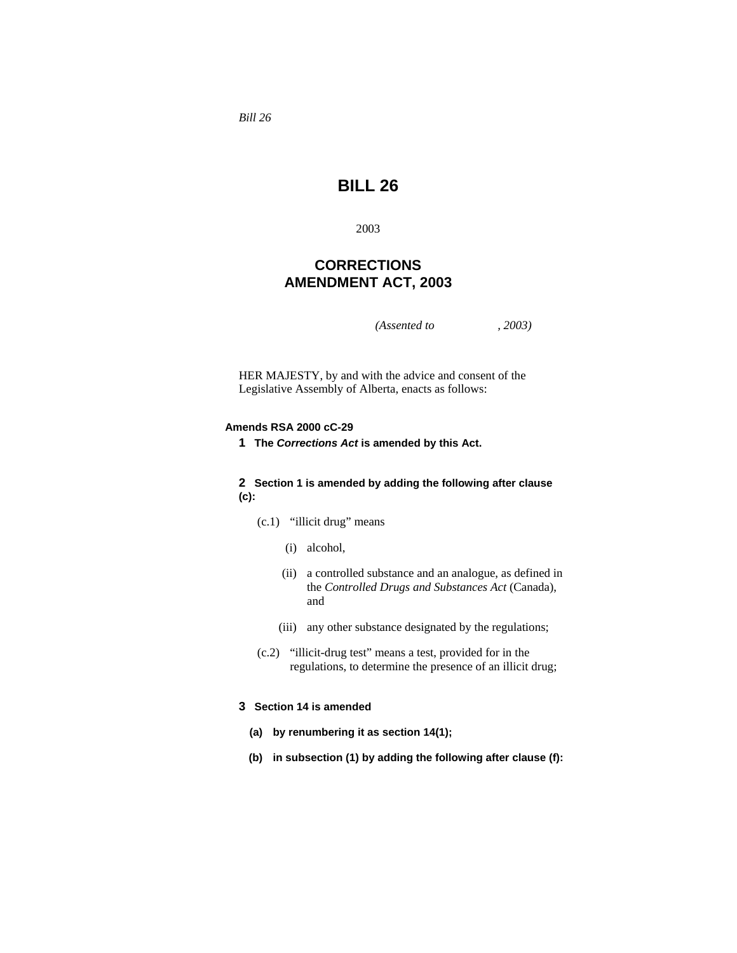*Bill 26* 

# **BILL 26**

2003

# **CORRECTIONS AMENDMENT ACT, 2003**

*(Assented to , 2003)* 

HER MAJESTY, by and with the advice and consent of the Legislative Assembly of Alberta, enacts as follows:

#### **Amends RSA 2000 cC-29**

**1 The** *Corrections Act* **is amended by this Act.**

### **2 Section 1 is amended by adding the following after clause (c):**

- (c.1) "illicit drug" means
	- (i) alcohol,
	- (ii) a controlled substance and an analogue, as defined in the *Controlled Drugs and Substances Act* (Canada), and
	- (iii) any other substance designated by the regulations;
- (c.2) "illicit-drug test" means a test, provided for in the regulations, to determine the presence of an illicit drug;

#### **3 Section 14 is amended**

- **(a) by renumbering it as section 14(1);**
- **(b) in subsection (1) by adding the following after clause (f):**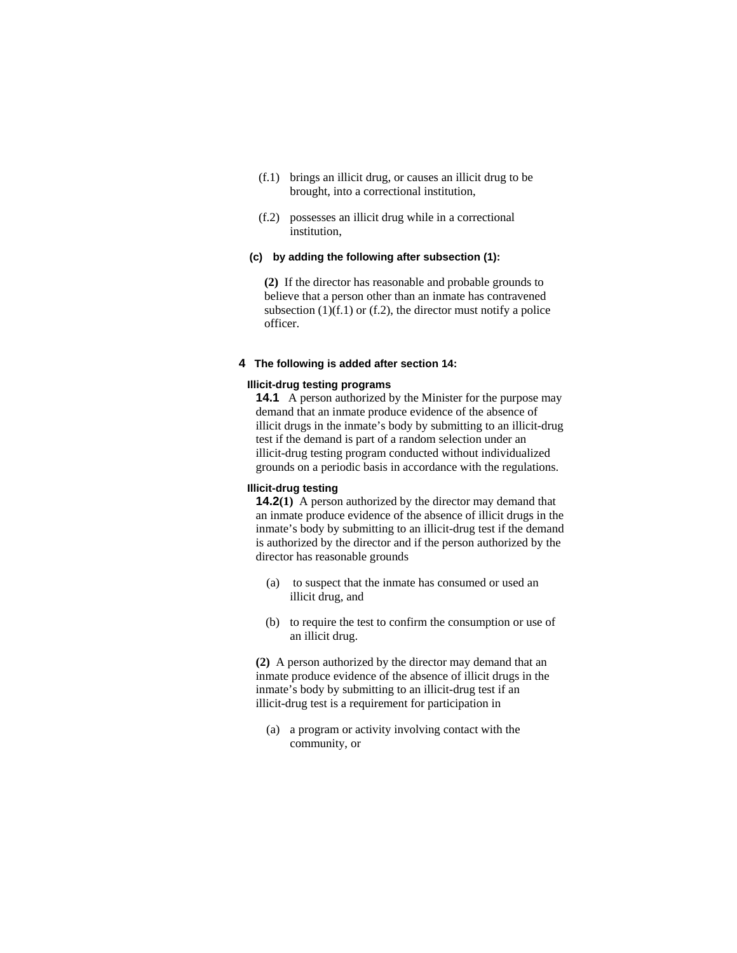- (f.1) brings an illicit drug, or causes an illicit drug to be brought, into a correctional institution,
- (f.2) possesses an illicit drug while in a correctional institution,

# **(c) by adding the following after subsection (1):**

**(2)** If the director has reasonable and probable grounds to believe that a person other than an inmate has contravened subsection  $(1)(f.1)$  or  $(f.2)$ , the director must notify a police officer.

#### **4 The following is added after section 14:**

### **Illicit-drug testing programs**

**14.1** A person authorized by the Minister for the purpose may demand that an inmate produce evidence of the absence of illicit drugs in the inmate's body by submitting to an illicit-drug test if the demand is part of a random selection under an illicit-drug testing program conducted without individualized grounds on a periodic basis in accordance with the regulations.

#### **Illicit-drug testing**

**14.2(1)** A person authorized by the director may demand that an inmate produce evidence of the absence of illicit drugs in the inmate's body by submitting to an illicit-drug test if the demand is authorized by the director and if the person authorized by the director has reasonable grounds

- (a) to suspect that the inmate has consumed or used an illicit drug, and
- (b) to require the test to confirm the consumption or use of an illicit drug.

**(2)** A person authorized by the director may demand that an inmate produce evidence of the absence of illicit drugs in the inmate's body by submitting to an illicit-drug test if an illicit-drug test is a requirement for participation in

 (a) a program or activity involving contact with the community, or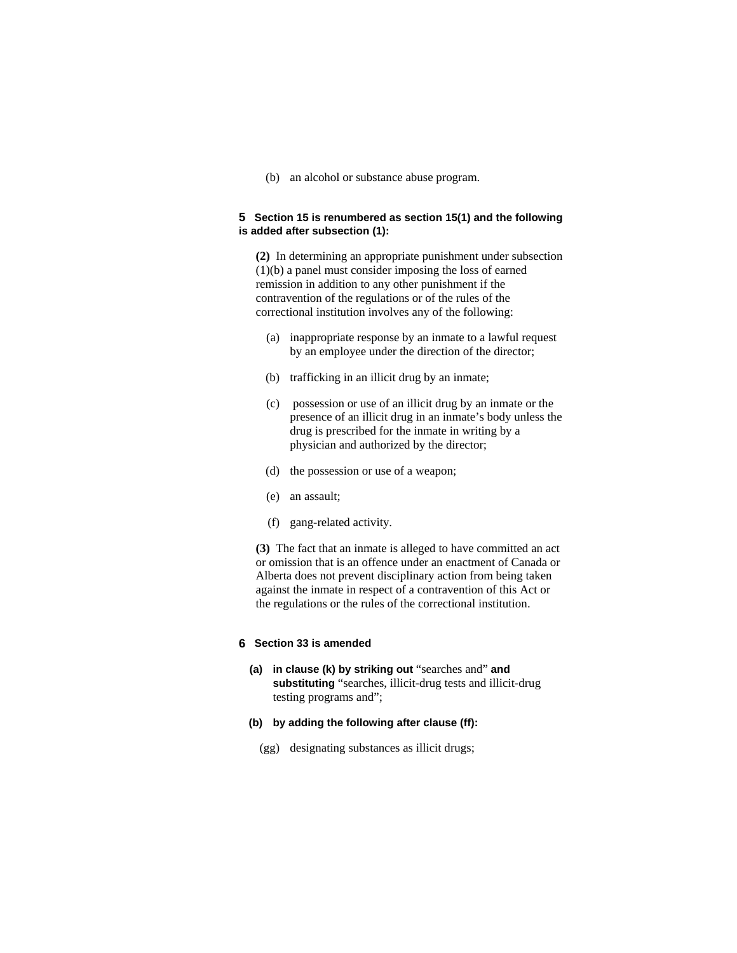(b) an alcohol or substance abuse program.

#### **5 Section 15 is renumbered as section 15(1) and the following is added after subsection (1):**

**(2)** In determining an appropriate punishment under subsection (1)(b) a panel must consider imposing the loss of earned remission in addition to any other punishment if the contravention of the regulations or of the rules of the correctional institution involves any of the following:

- (a) inappropriate response by an inmate to a lawful request by an employee under the direction of the director;
- (b) trafficking in an illicit drug by an inmate;
- (c) possession or use of an illicit drug by an inmate or the presence of an illicit drug in an inmate's body unless the drug is prescribed for the inmate in writing by a physician and authorized by the director;
- (d) the possession or use of a weapon;
- (e) an assault;
- (f) gang-related activity.

**(3)** The fact that an inmate is alleged to have committed an act or omission that is an offence under an enactment of Canada or Alberta does not prevent disciplinary action from being taken against the inmate in respect of a contravention of this Act or the regulations or the rules of the correctional institution.

# **6 Section 33 is amended**

- **(a) in clause (k) by striking out** "searches and" **and substituting** "searches, illicit-drug tests and illicit-drug testing programs and";
- **(b) by adding the following after clause (ff):**
	- (gg) designating substances as illicit drugs;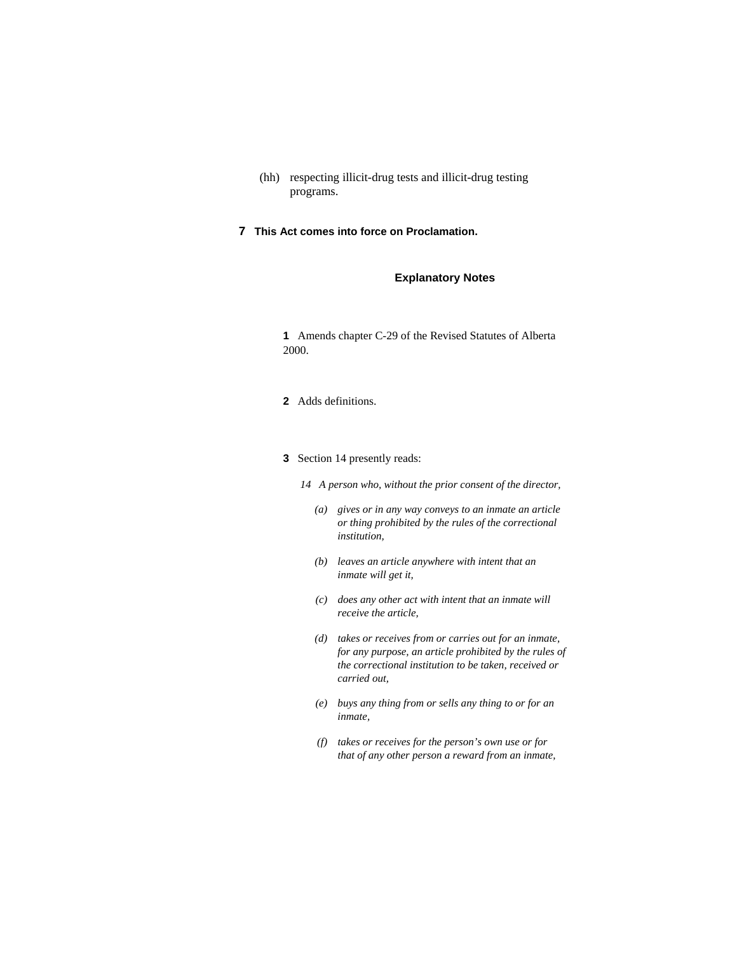- (hh) respecting illicit-drug tests and illicit-drug testing programs.
- **7 This Act comes into force on Proclamation.**

### **Explanatory Notes**

**1** Amends chapter C-29 of the Revised Statutes of Alberta 2000.

- **2** Adds definitions.
- **3** Section 14 presently reads:

*14 A person who, without the prior consent of the director,* 

- *(a) gives or in any way conveys to an inmate an article or thing prohibited by the rules of the correctional institution,*
- *(b) leaves an article anywhere with intent that an inmate will get it,*
- *(c) does any other act with intent that an inmate will receive the article,*
- *(d) takes or receives from or carries out for an inmate, for any purpose, an article prohibited by the rules of the correctional institution to be taken, received or carried out,*
- *(e) buys any thing from or sells any thing to or for an inmate,*
- *(f) takes or receives for the person's own use or for that of any other person a reward from an inmate,*